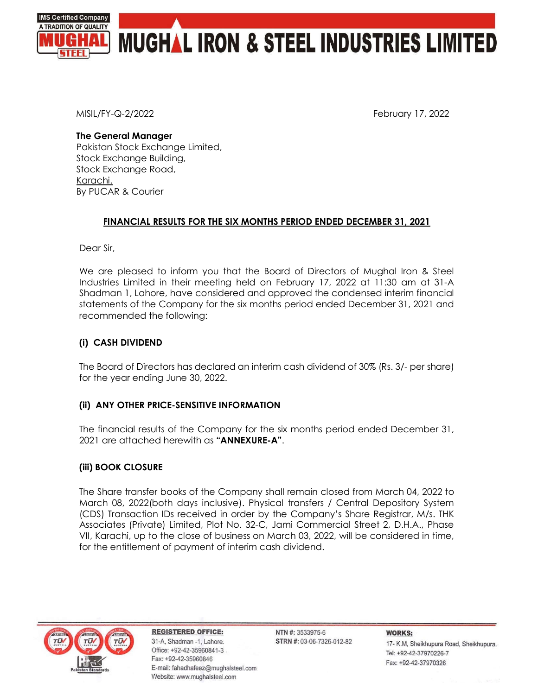

MISIL/FY-Q-2/2022 February 17, 2022

### The General Manager

Pakistan Stock Exchange Limited, Stock Exchange Building, Stock Exchange Road, Karachi. By PUCAR & Courier

## FINANCIAL RESULTS FOR THE SIX MONTHS PERIOD ENDED DECEMBER 31, 2021

Dear Sir,

We are pleased to inform you that the Board of Directors of Mughal Iron & Steel Industries Limited in their meeting held on February 17, 2022 at 11:30 am at 31-A Shadman 1, Lahore, have considered and approved the condensed interim financial statements of the Company for the six months period ended December 31, 2021 and recommended the following:

# (i) CASH DIVIDEND

The Board of Directors has declared an interim cash dividend of 30% (Rs. 3/- per share) for the year ending June 30, 2022.

## (ii) ANY OTHER PRICE-SENSITIVE INFORMATION

The financial results of the Company for the six months period ended December 31, 2021 are attached herewith as "**ANNEXURE-A".** 

## (iii) BOOK CLOSURE

The Share transfer books of the Company shall remain closed from March 04, 2022 to March 08, 2022(both days inclusive). Physical transfers / Central Depository System (CDS) Transaction IDs received in order by the Company's Share Registrar, M/s. THK Associates (Private) Limited, Plot No. 32-C, Jami Commercial Street 2, D.H.A., Phase VII, Karachi, up to the close of business on March 03, 2022, will be considered in time, for the entitlement of payment of interim cash dividend.



**REGISTERED OFFICE:** 31-A, Shadman -1, Lahore. Office: +92-42-35960841-3 Fax: +92-42-35960846 E-mail: fahadhafeez@mughalsteel.com Website: www.mughalsteel.com

NTN #: 3533975-6 STRN #: 03-06-7326-012-82 **WORKS:** 17- K.M, Sheikhupura Road, Sheikhupura. Tel: +92-42-37970226-7 Fax: +92-42-37970326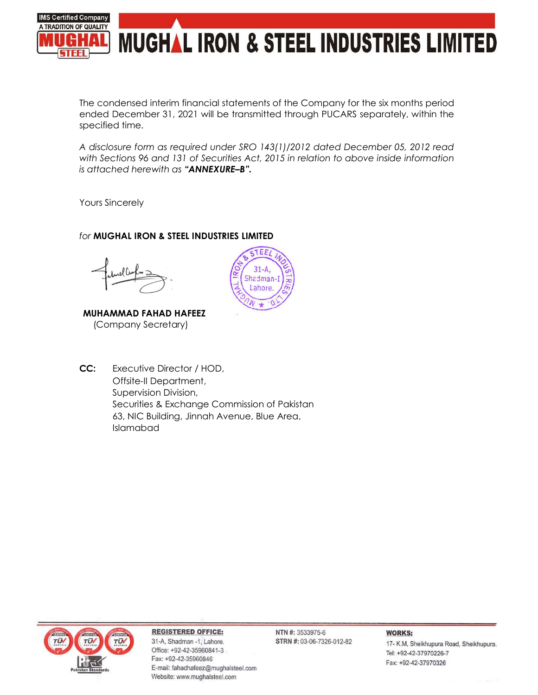

The condensed interim financial statements of the Company for the six months period ended December 31, 2021 will be transmitted through PUCARS separately, within the specified time.

A disclosure form as required under SRO 143(1)/2012 dated December 05, 2012 read with Sections 96 and 131 of Securities Act, 2015 in relation to above inside information is attached herewith as "ANNEXURE-B".

Yours Sincerely

# for MUGHAL IRON & STEEL INDUSTRIES LIMITED

MUHAMMAD FAHAD HAFEEZ (Company Secretary)



CC: Executive Director / HOD, Offsite-II Department, Supervision Division, Securities & Exchange Commission of Pakistan 63, NIC Building, Jinnah Avenue, Blue Area, Islamabad



### **REGISTERED OFFICE:**

31-A, Shadman -1, Lahore. Office: +92-42-35960841-3 Fax: +92-42-35960846 E-mail: fahadhafeez@mughalsteel.com Website: www.mughalsteel.com

NTN #: 3533975-6 STRN #: 03-06-7326-012-82

### **WORKS:**

17- K.M, Sheikhupura Road, Sheikhupura. Tel: +92-42-37970226-7 Fax: +92-42-37970326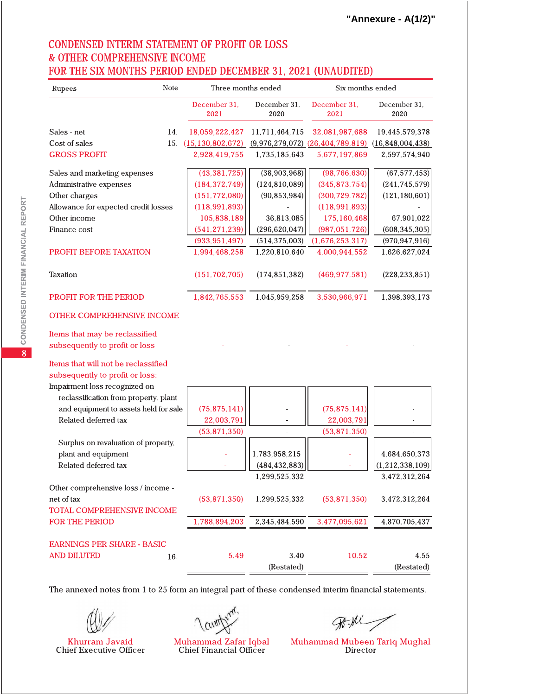# **CONDENSED INTERIM STATEMENT OF PROFIT OR LOSS & OTHER COMPREHENSIVE INCOME** FOR THE SIX MONTHS PERIOD ENDED DECEMBER 31, 2021 (UNAUDITED)

| Note<br>Rupees                                                                                          |                      |                | Three months ended   | Six months ended                     |                      |  |  |
|---------------------------------------------------------------------------------------------------------|----------------------|----------------|----------------------|--------------------------------------|----------------------|--|--|
|                                                                                                         | December 31,<br>2021 |                | December 31,<br>2020 | December 31,<br>2021                 | December 31,<br>2020 |  |  |
| Sales - net<br>14.                                                                                      | 18,059,222,427       |                | 11,711,464,715       | 32,081,987,688                       | 19,445,579,378       |  |  |
| Cost of sales<br>15.                                                                                    | (15, 130, 802, 672)  |                |                      | $(9,976,279,072)$ $(26,404,789,819)$ | (16, 848, 004, 438)  |  |  |
| <b>GROSS PROFIT</b>                                                                                     | 2,928,419,755        |                | 1,735,185,643        | 5,677,197,869                        | 2,597,574,940        |  |  |
| Sales and marketing expenses                                                                            |                      | (43, 381, 725) | (38,903,968)         | (98, 766, 630)                       | (67, 577, 453)       |  |  |
| Administrative expenses                                                                                 | (184, 372, 749)      |                | (124, 810, 089)      | (345, 873, 754)                      | (241, 745, 579)      |  |  |
| Other charges                                                                                           | (151, 772, 080)      |                | (90, 853, 984)       | (300, 729, 782)                      | (121, 180, 601)      |  |  |
| Allowance for expected credit losses                                                                    | (118, 991, 893)      |                |                      | (118, 991, 893)                      |                      |  |  |
| Other income                                                                                            |                      | 105,838,189    | 36,813,085           | 175,160,468                          | 67,901,022           |  |  |
| Finance cost                                                                                            | (541, 271, 239)      |                | (296, 620, 047)      | (987, 051, 726)                      | (608, 345, 305)      |  |  |
|                                                                                                         | (933, 951, 497)      |                | (514, 375, 003)      | (1,676,253,317)                      | (970, 947, 916)      |  |  |
| <b>PROFIT BEFORE TAXATION</b>                                                                           | 1,994,468,258        |                | 1,220,810,640        | 4,000,944,552                        | 1,626,627,024        |  |  |
| Taxation                                                                                                | (151, 702, 705)      |                | (174, 851, 382)      | (469, 977, 581)                      | (228, 233, 851)      |  |  |
| <b>PROFIT FOR THE PERIOD</b>                                                                            | 1,842,765,553        |                | 1,045,959,258        | 3,530,966,971                        | 1,398,393,173        |  |  |
| <b>OTHER COMPREHENSIVE INCOME</b>                                                                       |                      |                |                      |                                      |                      |  |  |
| Items that may be reclassified<br>subsequently to profit or loss<br>Items that will not be reclassified |                      |                |                      |                                      |                      |  |  |
| subsequently to profit or loss:                                                                         |                      |                |                      |                                      |                      |  |  |
| Impairment loss recognized on                                                                           |                      |                |                      |                                      |                      |  |  |
| reclassification from property, plant                                                                   |                      |                |                      |                                      |                      |  |  |
| and equipment to assets held for sale<br>Related deferred tax                                           |                      | (75, 875, 141) |                      | (75, 875, 141)                       |                      |  |  |
|                                                                                                         |                      | 22,003,791     |                      | 22,003,791                           |                      |  |  |
|                                                                                                         |                      | (53, 871, 350) |                      | (53, 871, 350)                       |                      |  |  |
| Surplus on revaluation of property,                                                                     |                      |                |                      |                                      |                      |  |  |
| plant and equipment                                                                                     |                      |                | 1,783,958,215        |                                      | 4,684,650,373        |  |  |
| Related deferred tax                                                                                    |                      |                | (484, 432, 883)      |                                      | (1, 212, 338, 109)   |  |  |
|                                                                                                         |                      |                | 1,299,525,332        |                                      | 3,472,312,264        |  |  |
| Other comprehensive loss / income -                                                                     |                      |                |                      |                                      |                      |  |  |
| net of tax                                                                                              |                      | (53, 871, 350) | 1,299,525,332        | (53, 871, 350)                       | 3,472,312,264        |  |  |
| TOTAL COMPREHENSIVE INCOME                                                                              |                      |                |                      |                                      |                      |  |  |
| <b>FOR THE PERIOD</b>                                                                                   | 1,788,894,203        |                | 2,345,484,590        | 3,477,095,621                        | 4,870,705,437        |  |  |
| <b>EARNINGS PER SHARE - BASIC</b>                                                                       |                      |                |                      |                                      |                      |  |  |
| <b>AND DILUTED</b><br>16.                                                                               |                      | 5.49           | 3.40                 | 10.52                                | 4.55                 |  |  |
|                                                                                                         |                      |                | (Restated)           |                                      | (Restated)           |  |  |

The annexed notes from 1 to 25 form an integral part of these condensed interim financial statements.

/ CLIMT

Muhammad Zafar Iqbal **Chief Financial Officer** 

Muhammad Mubeen Tariq Mughal<br>Director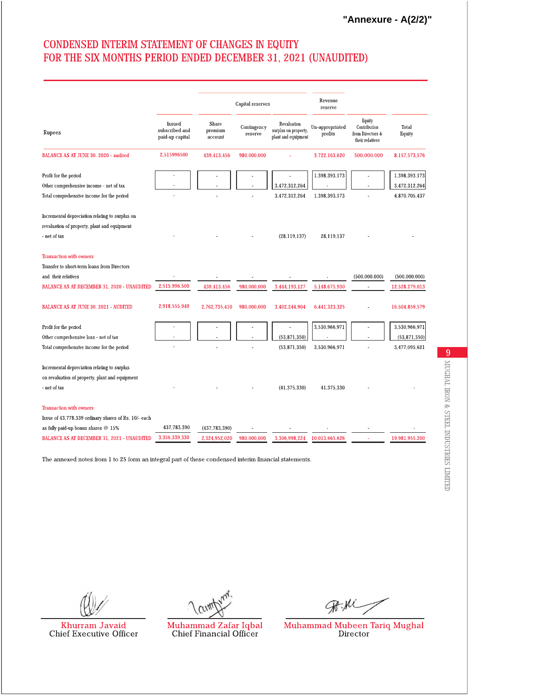"Annexure - A(2/2)"

# CONDENSED INTERIM STATEMENT OF CHANGES IN EQUITY FOR THE SIX MONTHS PERIOD ENDED DECEMBER 31, 2021 (UNAUDITED)

|                                                                                                       |                                             |                             | Capital reserves       |                                                            | Revenue<br>reserve         |                                                               |                 |
|-------------------------------------------------------------------------------------------------------|---------------------------------------------|-----------------------------|------------------------|------------------------------------------------------------|----------------------------|---------------------------------------------------------------|-----------------|
| Rupees                                                                                                | Issued<br>subscribed and<br>paid-up capital | Share<br>premium<br>account | Contingency<br>reserve | Revaluation<br>surplus on property,<br>plant and equipment | Un-appropriated<br>profits | Equity<br>Contribution<br>from Directors &<br>their relatives | Total<br>Equity |
| BALANCE AS AT JUNE 30, 2020 - audited                                                                 | 2,515996500                                 | 439,413,456                 | 980,000,000            |                                                            | 3,722,163,620              | 500,000,000                                                   | 8,157,573,576   |
| Profit for the period                                                                                 |                                             |                             |                        |                                                            | 1,398,393,173              |                                                               | 1,398,393,173   |
| Other comprehensive income - net of tax                                                               |                                             |                             |                        | 3,472,312,264                                              |                            |                                                               | 3,472,312,264   |
| Total comprehensive income for the period                                                             |                                             |                             |                        | 3,472,312,264                                              | 1,398,393,173              |                                                               | 4,870,705,437   |
| Incremental depreciation relating to surplus on                                                       |                                             |                             |                        |                                                            |                            |                                                               |                 |
| revaluation of property, plant and equipment                                                          |                                             |                             |                        |                                                            |                            |                                                               |                 |
| - net of tax                                                                                          |                                             |                             |                        | (28, 119, 137)                                             | 28,119,137                 |                                                               |                 |
| <b>Transaction with owners</b>                                                                        |                                             |                             |                        |                                                            |                            |                                                               |                 |
| Transfer to short-term loans from Directors                                                           |                                             |                             |                        |                                                            |                            |                                                               |                 |
| and their relatives                                                                                   |                                             |                             |                        |                                                            |                            | (500,000,000)                                                 | (500,000,000)   |
| BALANCE AS AT DECEMBER 31, 2020 - UNAUDITED                                                           | 2,515,996,500                               | 439,413,456                 | 980,000,000            | 3,444,193,127                                              | 5,148,675,930              |                                                               | 12,528,279,013  |
| <b>BALANCE AS AT JUNE 30, 2021 - AUDITED</b>                                                          | 2,918,555,940                               | 2,762,735,410               | 980,000,000            | 3,402,244,904                                              | 6,441,323,325              |                                                               | 16,504,859,579  |
| Profit for the period                                                                                 |                                             |                             |                        |                                                            | 3,530,966,971              |                                                               | 3,530,966,971   |
| Other comprehensive loss - net of tax                                                                 |                                             |                             |                        | (53, 871, 350)                                             |                            |                                                               | (53,871,350)    |
| Total comprehensive income for the period                                                             |                                             |                             |                        | (53,871,350)                                               | 3,530,966,971              |                                                               | 3,477,095,621   |
| Incremental depreciation relating to surplus                                                          |                                             |                             |                        |                                                            |                            |                                                               |                 |
| on revaluation of property, plant and equipment                                                       |                                             |                             |                        |                                                            |                            |                                                               |                 |
| - net of tax                                                                                          |                                             |                             |                        | (41, 375, 330)                                             | 41,375,330                 |                                                               |                 |
| <b>Transaction with owners</b>                                                                        |                                             |                             |                        |                                                            |                            |                                                               |                 |
| Issue of 43,778,339 ordinary shares of Rs. 10/- each                                                  |                                             |                             |                        |                                                            |                            |                                                               |                 |
| as fully paid-up bonus shares $@15%$                                                                  | 437,783,390                                 | (437, 783, 390)             |                        |                                                            |                            |                                                               |                 |
| <b>BALANCE AS AT DECEMBER 31, 2021 - UNAUDITED</b>                                                    | 3,356,339,330                               | 2,324,952,020               | 980.000.000            | 3,306,998,224                                              | 10,013,665,626             |                                                               | 19,981,955,200  |
| The annexed notes from 1 to 25 form an integral part of these condensed interim financial statements. |                                             |                             |                        |                                                            |                            |                                                               |                 |

Khurram Javaid Chief Executive Officer

/ cum

Muhammad Zafar Iqbal Chief Financial Officer

Muhammad Mubeen Tariq Mughal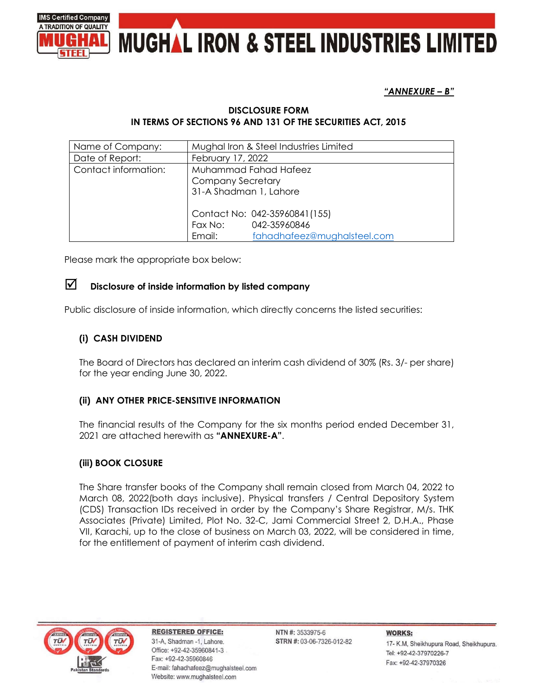



"ANNEXURE – B"

## DISCLOSURE FORM IN TERMS OF SECTIONS 96 AND 131 OF THE SECURITIES ACT, 2015

| Name of Company:     | Mughal Iron & Steel Industries Limited |                               |  |  |
|----------------------|----------------------------------------|-------------------------------|--|--|
| Date of Report:      | February 17, 2022                      |                               |  |  |
| Contact information: | Muhammad Fahad Hafeez                  |                               |  |  |
|                      | <b>Company Secretary</b>               |                               |  |  |
|                      | 31-A Shadman 1, Lahore                 |                               |  |  |
|                      |                                        |                               |  |  |
|                      |                                        | Contact No: 042-35960841(155) |  |  |
|                      |                                        | Fax No: 042-35960846          |  |  |
|                      | Email:                                 | fahadhafeez@mughalsteel.com   |  |  |

Please mark the appropriate box below:

# $\triangledown$  Disclosure of inside information by listed company

Public disclosure of inside information, which directly concerns the listed securities:

# (i) CASH DIVIDEND

The Board of Directors has declared an interim cash dividend of 30% (Rs. 3/- per share) for the year ending June 30, 2022.

## (ii) ANY OTHER PRICE-SENSITIVE INFORMATION

The financial results of the Company for the six months period ended December 31, 2021 are attached herewith as "ANNEXURE-A".

## (iii) BOOK CLOSURE

The Share transfer books of the Company shall remain closed from March 04, 2022 to March 08, 2022(both days inclusive). Physical transfers / Central Depository System (CDS) Transaction IDs received in order by the Company's Share Registrar, M/s. THK Associates (Private) Limited, Plot No. 32-C, Jami Commercial Street 2, D.H.A., Phase VII, Karachi, up to the close of business on March 03, 2022, will be considered in time, for the entitlement of payment of interim cash dividend.



**REGISTERED OFFICE:** 31-A, Shadman -1, Lahore. Office: +92-42-35960841-3 Fax: +92-42-35960846 E-mail: fahadhafeez@mughalsteel.com Website: www.mughalsteel.com

NTN #: 3533975-6 STRN #: 03-06-7326-012-82 **WORKS:** 17- K.M, Sheikhupura Road, Sheikhupura. Tel: +92-42-37970226-7 Fax: +92-42-37970326